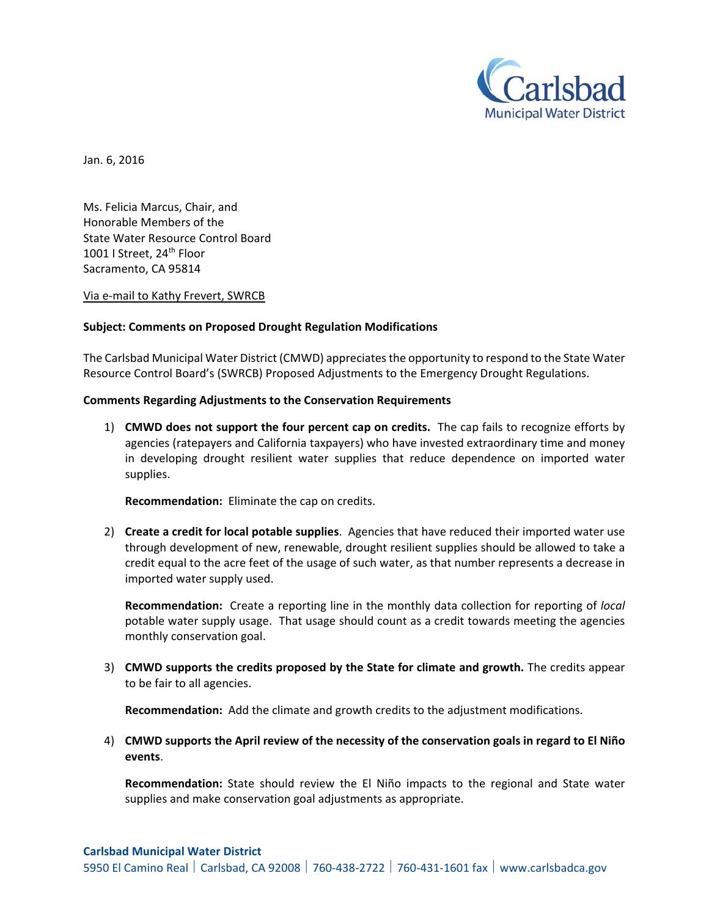

Jan. 6, 2016

Ms. Felicia Marcus, Chair, and Honorable Members of the State Water Resource Control Board 1001 I Street, 24<sup>th</sup> Floor Sacramento, CA 95814

Via e‐mail to Kathy Frevert, SWRCB

## **Subject: Comments on Proposed Drought Regulation Modifications**

The Carlsbad Municipal Water District (CMWD) appreciatesthe opportunity to respond to the State Water Resource Control Board's (SWRCB) Proposed Adjustments to the Emergency Drought Regulations.

## **Comments Regarding Adjustments to the Conservation Requirements**

1) **CMWD does not support the four percent cap on credits.** The cap fails to recognize efforts by agencies (ratepayers and California taxpayers) who have invested extraordinary time and money in developing drought resilient water supplies that reduce dependence on imported water supplies.

**Recommendation:** Eliminate the cap on credits.

2) **Create a credit for local potable supplies**. Agencies that have reduced their imported water use through development of new, renewable, drought resilient supplies should be allowed to take a credit equal to the acre feet of the usage of such water, as that number represents a decrease in imported water supply used.

**Recommendation:** Create a reporting line in the monthly data collection for reporting of *local* potable water supply usage. That usage should count as a credit towards meeting the agencies monthly conservation goal.

3) **CMWD supports the credits proposed by the State for climate and growth.** The credits appear to be fair to all agencies.

**Recommendation:** Add the climate and growth credits to the adjustment modifications.

4) **CMWD supports the April review of the necessity of the conservation goals in regard to El Niño events**.

**Recommendation:** State should review the El Niño impacts to the regional and State water supplies and make conservation goal adjustments as appropriate.